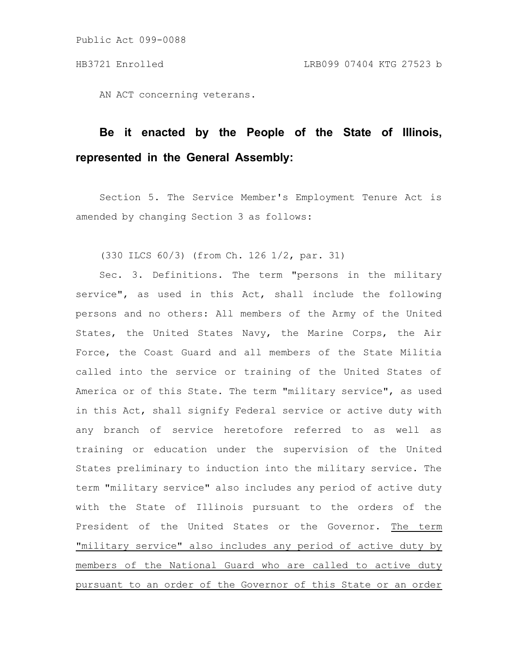AN ACT concerning veterans.

## **Be it enacted by the People of the State of Illinois, represented in the General Assembly:**

Section 5. The Service Member's Employment Tenure Act is amended by changing Section 3 as follows:

(330 ILCS 60/3) (from Ch. 126 1/2, par. 31)

Sec. 3. Definitions. The term "persons in the military service", as used in this Act, shall include the following persons and no others: All members of the Army of the United States, the United States Navy, the Marine Corps, the Air Force, the Coast Guard and all members of the State Militia called into the service or training of the United States of America or of this State. The term "military service", as used in this Act, shall signify Federal service or active duty with any branch of service heretofore referred to as well as training or education under the supervision of the United States preliminary to induction into the military service. The term "military service" also includes any period of active duty with the State of Illinois pursuant to the orders of the President of the United States or the Governor. The term "military service" also includes any period of active duty by members of the National Guard who are called to active duty pursuant to an order of the Governor of this State or an order